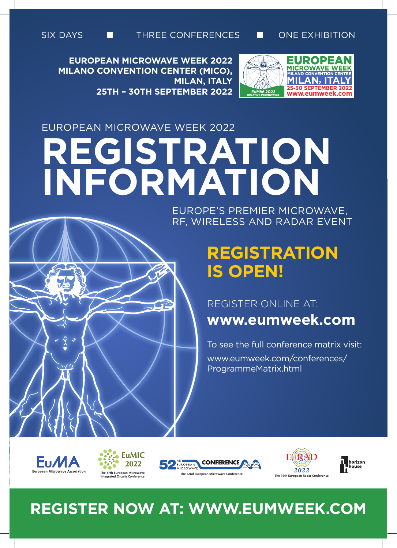

**EUROPEAN MICROWAVE WEEK 2022 MILANO CONVENTION CENTER (MICO), MILAN, ITALY 25TH – 30TH SEPTEMBER 2022**



# EUROPEAN MICROWAVE WEEK 2022 **REGISTRATION INFORMATION**

EUROPE'S PREMIER MICROWAVE, RF, WIRELESS AND RADAR EVENT

# **REGISTRATION IS OPEN!**

### REGISTER ONLINE AT:

**www.eumweek.com**

To see the full conference matrix visit: www.eumweek.com/conferences/ ProgrammeMatrix.html











## **REGISTER NOW AT: WWW.EUMWEEK.COM**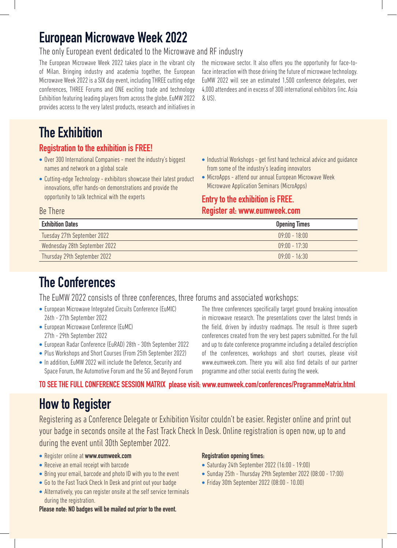### **European Microwave Week 2022**

#### The only European event dedicated to the Microwave and RF industry

The European Microwave Week 2022 takes place in the vibrant city of Milan. Bringing industry and academia together, the European Microwave Week 2022 is a SIX day event, including THREE cutting edge conferences, THREE Forums and ONE exciting trade and technology Exhibition featuring leading players from across the globe. EuMW 2022 provides access to the very latest products, research and initiatives in

the microwave sector. It also offers you the opportunity for face-toface interaction with those driving the future of microwave technology. EuMW 2022 will see an estimated 1,500 conference delegates, over 4,000 attendees and in excess of 300 international exhibitors (inc. Asia & US).

### **The Exhibition**

#### **Registration to the exhibition is FREE!**

- Over 300 International Companies meet the industry's biggest names and network on a global scale
- Cutting-edge Technology exhibitors showcase their latest product innovations, offer hands-on demonstrations and provide the opportunity to talk technical with the experts
- Industrial Workshops get first hand technical advice and guidance from some of the industry's leading innovators
- MicroApps attend our annual European Microwave Week Microwave Application Seminars (MicroApps)

#### **Entry to the exhibition is FREE. Register at: www.eumweek.com**

#### Be There

| <b>Opening Times</b>        |
|-----------------------------|
| $\overline{09}$ ·NO - 18·NO |
| $19.00 - 17.30$             |
| $16.30 - 16.30$             |
|                             |

### **The Conferences**

The EuMW 2022 consists of three conferences, three forums and associated workshops:

- European Microwave Integrated Circuits Conference (EuMIC) 26th - 27th September 2022
- European Microwave Conference (EuMC) 27th - 29th September 2022
- European Radar Conference (EuRAD) 28th 30th September 2022
- Plus Workshops and Short Courses (From 25th September 2022)
- In addition, EuMW 2022 will include the Defence, Security and Space Forum, the Automotive Forum and the 5G and Beyond Forum

The three conferences specifically target ground breaking innovation in microwave research. The presentations cover the latest trends in the field, driven by industry roadmaps. The result is three superb conferences created from the very best papers submitted. For the full and up to date conference programme including a detailed description of the conferences, workshops and short courses, please visit www.eumweek.com. There you will also find details of our partner programme and other social events during the week.

#### **TO SEE THE FULL CONFERENCE SESSION MATRIX please visit: www.eumweek.com/conferences/ProgrammeMatrix.html**

### **How to Register**

Registering as a Conference Delegate or Exhibition Visitor couldn't be easier. Register online and print out your badge in seconds onsite at the Fast Track Check In Desk. Online registration is open now, up to and during the event until 30th September 2022.

- Register online at **www.eumweek.com**
- Receive an email receipt with barcode
- Bring your email, barcode and photo ID with you to the event
- Go to the Fast Track Check In Desk and print out your badge
- Alternatively, you can register onsite at the self service terminals during the registration.

#### **Registration opening times:**

- Saturday 24th September 2022 (16:00 19:00)
- Sunday 25th Thursday 29th September 2022 (08:00 17:00)
- Friday 30th September 2022 (08:00 10.00)
- **Please note: NO badges will be mailed out prior to the event.**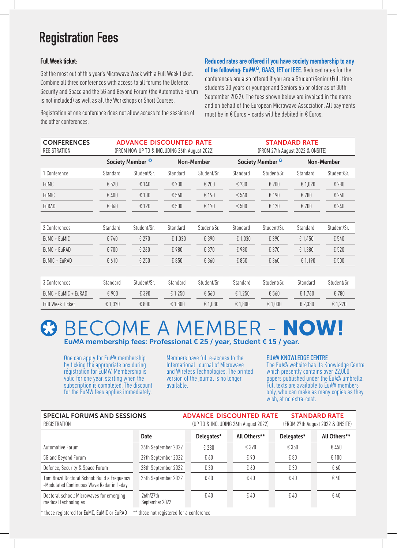### **Registration Fees**

#### **Full Week ticket:**

Get the most out of this year's Microwave Week with a Full Week ticket. Combine all three conferences with access to all forums the Defence, Security and Space and the 5G and Beyond Forum (the Automotive Forum is not included) as well as all the Workshops or Short Courses.

Registration at one conference does not allow access to the sessions of the other conferences.

**Reduced rates are offered if you have society membership to any of the following: EuMA<sup>®</sup>, GAAS, IET or IEEE.** Reduced rates for the conferences are also offered if you are a Student/Senior (Full-time students 30 years or younger and Seniors 65 or older as of 30th September 2022). The fees shown below are invoiced in the name and on behalf of the European Microwave Association. All payments must be in  $E$  Euros – cards will be debited in  $E$  Euros.

| <b>CONFERENCES</b><br>REGISTRATION | <b>ADVANCE DISCOUNTED RATE</b><br>(FROM NOW UP TO & INCLUDING 26th August 2022) |                             |          |                   | <b>STANDARD RATE</b><br>(FROM 27th August 2022 & ONSITE) |                             |           |                   |  |
|------------------------------------|---------------------------------------------------------------------------------|-----------------------------|----------|-------------------|----------------------------------------------------------|-----------------------------|-----------|-------------------|--|
|                                    |                                                                                 | Society Member <sup>®</sup> |          | <b>Non-Member</b> |                                                          | Society Member <sup>®</sup> |           | <b>Non-Member</b> |  |
| 1 Conference                       | Standard                                                                        | Student/Sr.                 | Standard | Student/Sr.       | Standard                                                 | Student/Sr.                 | Standard  | Student/Sr.       |  |
| <b>EuMC</b>                        | £520                                                                            | £140                        | €730     | € 200             | € 730                                                    | € 200                       | € 1,020   | € 280             |  |
| EuMIC                              | £400                                                                            | £ 130                       | € 560    | € 190             | € 560                                                    | € 190                       | €780      | € 260             |  |
| EuRAD                              | € 360                                                                           | £ 120                       | € 500    | € 170             | € 500                                                    | € 170                       | € 700     | € 240             |  |
|                                    |                                                                                 |                             |          |                   |                                                          |                             |           |                   |  |
| 2 Conferences                      | Standard                                                                        | Student/Sr.                 | Standard | Student/Sr.       | Standard                                                 | Student/Sr.                 | Standard  | Student/Sr.       |  |
| EuMC + EuMIC                       | € 740                                                                           | € 270                       | € 1,030  | € 390             | € 1,030                                                  | € 390                       | € $1,450$ | € 540             |  |
| EuMC + EuRAD                       | £700                                                                            | € 260                       | £980     | € 370             | €980                                                     | € 370                       | € 1,380   | € 520             |  |
| EuMIC + EuRAD                      | £610                                                                            | £250                        | £ 850    | € 360             | € 850                                                    | € 360                       | € 1,190   | € 500             |  |
|                                    |                                                                                 |                             |          |                   |                                                          |                             |           |                   |  |
| 3 Conferences                      | Standard                                                                        | Student/Sr.                 | Standard | Student/Sr.       | Standard                                                 | Student/Sr.                 | Standard  | Student/Sr.       |  |
| EuMC + EuMIC + EuRAD               | £900                                                                            | € 390                       | € 1,250  | € 560             | € 1,250                                                  | € 560                       | € 1,760   | €780              |  |
| <b>Full Week Ticket</b>            | € 1,370                                                                         | £ 800                       | € 1,800  | € 1,030           | € 1,800                                                  | € 1,030                     | € 2,330   | € 1,270           |  |

### **B BECOME A MEMBER - NOW!** Eu*M*A membership fees: Professional € 25 / year, Student € 15 / year.

One can apply for EuMA membership by ticking the appropriate box during registration for EuMW. Membership is valid for one year, starting when the subscription is completed. The discount for the EuMW fees applies immediately.

Members have full e-access to the International Journal of Microwave and Wireless Technologies. The printed version of the journal is no longer available.

#### EUMA KNOWLEDGE CENTRE

The EuMA website has its Knowledge Centre which presently contains over 22,000 papers published under the EuMA umbrella. Full texts are available to EuMA members only, who can make as many copies as they wish, at no extra-cost.

| <b>SPECIAL FORUMS AND SESSIONS</b><br>REGISTRATION                                         |                             |  | (UP TO & INCLUDING 26th August 2022) | <b>ADVANCE DISCOUNTED RATE</b> |              | <b>STANDARD RATE</b><br>(FROM 27th August 2022 & ONSITE) |  |              |
|--------------------------------------------------------------------------------------------|-----------------------------|--|--------------------------------------|--------------------------------|--------------|----------------------------------------------------------|--|--------------|
|                                                                                            | <b>Date</b>                 |  | Delegates*                           |                                | All Others** | Delegates*                                               |  | All Others** |
| Automotive Forum                                                                           | 26th September 2022         |  | € 280                                |                                | € 390        | € 350                                                    |  | € 450        |
| 5G and Beyond Forum                                                                        | 29th September 2022         |  | € 60                                 |                                | € 90         | € 80                                                     |  | € 100        |
| Defence, Security & Space Forum                                                            | 28th September 2022         |  | € 30                                 |                                | € 60         | € 30                                                     |  | €60          |
| Tom Brazil Doctoral School: Build a Frequency<br>-Modulated Continuous Wave Radar in 1-day | 25th September 2022         |  | € 40                                 |                                | £40          | € 40                                                     |  | € 40         |
| Doctoral school: Microwaves for emerging<br>medical technologies                           | 26th/27th<br>September 2022 |  | € 40                                 |                                | £40          | € 40                                                     |  | £40          |

\* those registered for EuMC, EuMIC or EuRAD \*\* those not registered for a conference